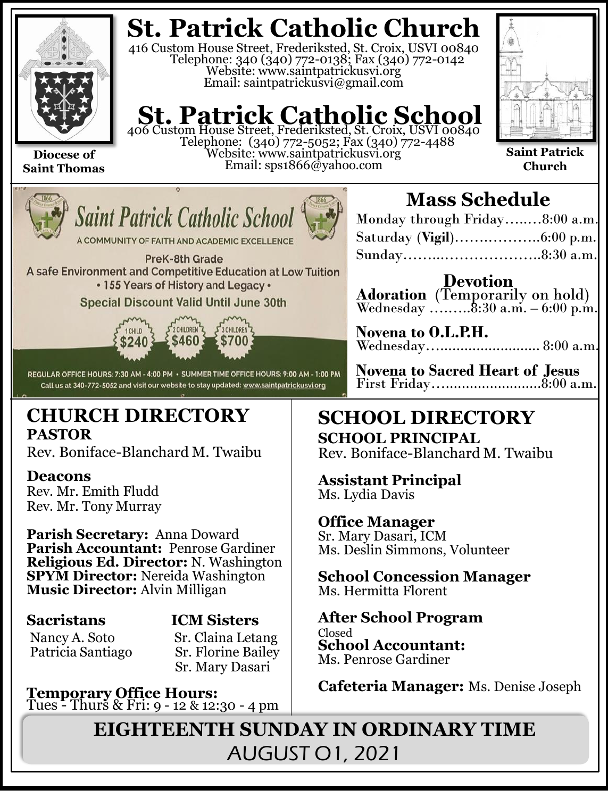

**Saint Thomas**

## **St. Patrick Catholic Church**

416 Custom House Street, Frederiksted, St. Croix, USVI 00840 Telephone: 340 (340) 772-0138; Fax (340) 772-0142 Website: www.saintpatrickusvi.org Email: saintpatrickusvi@gmail.com

## **St. Patrick Catholic School**

406 Custom House Street, Frederiksted, St. Croix, USVI 00840 Telephone: (340) 772-5052; Fax (340) 772-4488 Website: www.saintpatrickusvi.org Email: sps1866@yahoo.com



**Saint Patrick Church**



**Saint Patrick Catholic Schoo** 

A COMMUNITY OF FAITH AND ACADEMIC EXCELLENCE

PreK-8th Grade A safe Environment and Competitive Education at Low Tuition • 155 Years of History and Legacy •

## **Special Discount Valid Until June 30th**



REGULAR OFFICE HOURS: 7:30 AM - 4:00 PM · SUMMER TIME OFFICE HOURS: 9:00 AM - 1:00 PM Call us at 340-772-5052 and visit our website to stay updated: www.saintpatrickusvi.org

## **CHURCH DIRECTORY PASTOR**

Rev. Boniface-Blanchard M. Twaibu

## **Deacons**

Rev. Mr. Emith Fludd Rev. Mr. Tony Murray

**Parish Secretary:** Anna Doward **Parish Accountant:** Penrose Gardiner **Religious Ed. Director:** N. Washington **SPYM Director:** Nereida Washington **Music Director:** Alvin Milligan

## **Sacristans ICM Sisters**

Nancy A. Soto Sr. Claina Letang

Patricia Santiago Sr. Florine Bailey Sr. Mary Dasari

**Temporary Office Hours:**  Tues - Thurs & Fri: 9 - 12 & 12:30 - 4 pm

## **Mass Schedule**

| Monday through Friday8:00 a.m. |  |
|--------------------------------|--|
|                                |  |
|                                |  |

**Devotion Adoration** (Temporarily on hold) Wednesday .......... $8:30$  a.m.  $-6:00$  p.m.

**Novena to O.L.P.H.** Wednesday…......................... 8:00 a.m.

**Novena to Sacred Heart of Jesus** First Friday…........................8:00 a.m.

## **SCHOOL DIRECTORY SCHOOL PRINCIPAL**

Rev. Boniface-Blanchard M. Twaibu

**Assistant Principal** Ms. Lydia Davis

## **Office Manager**

Sr. Mary Dasari, ICM Ms. Deslin Simmons, Volunteer

**School Concession Manager** Ms. Hermitta Florent

### **After School Program** Closed **School Accountant:**  Ms. Penrose Gardiner

**Cafeteria Manager:** Ms. Denise Joseph

**EIGHTEENTH SUNDAY IN ORDINARY TIME** AUGUST O1, 2021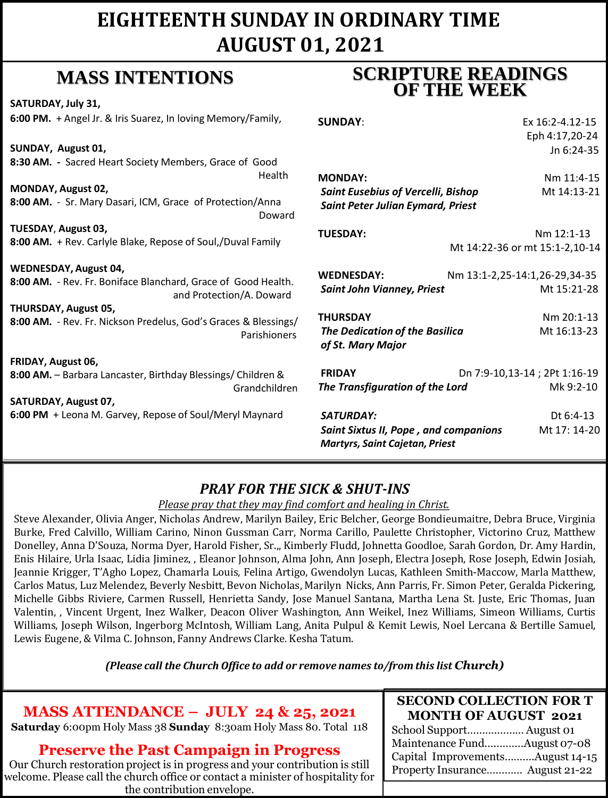## **EIGHTEENTH SUNDAY IN ORDINARY TIME AUGUST 01, 2021**

## **MASS INTENTIONS**

**SATURDAY, July 31, 6:00 PM.** + Angel Jr. & Iris Suarez, In loving Memory/Family,

**SUNDAY, August 01, 8:30 AM. -** Sacred Heart Society Members, Grace of Good Health

**MONDAY, August 02, 8:00 AM.** - Sr. Mary Dasari, ICM, Grace of Protection/Anna Doward

**TUESDAY**, **August 03, 8:00 AM.** + Rev. Carlyle Blake, Repose of Soul,/Duval Family

#### **WEDNESDAY, August 04,**

**8:00 AM.** - Rev. Fr. Boniface Blanchard, Grace of Good Health. and Protection/A. Doward

**THURSDAY, August 05, 8:00 AM.** - Rev. Fr. Nickson Predelus, God's Graces & Blessings/ Parishioners

**FRIDAY, August 06, 8:00 AM.** – Barbara Lancaster, Birthday Blessings/ Children &

Grandchildren **SATURDAY, August 07, 6:00 PM** + Leona M. Garvey, Repose of Soul/Meryl Maynard

## **SCRIPTURE READINGS OF THE WEEK**

| <b>SUNDAY:</b>                            | Ex 16:2-4.12-15                |
|-------------------------------------------|--------------------------------|
|                                           | Eph 4:17,20-24                 |
|                                           | $In 6:24-35$                   |
| <b>MONDAY:</b>                            | Nm 11:4-15                     |
| <b>Saint Eusebius of Vercelli, Bishop</b> | Mt 14:13-21                    |
| <b>Saint Peter Julian Eymard, Priest</b>  |                                |
| <b>TUESDAY:</b>                           | Nm 12:1-13                     |
|                                           | Mt 14:22-36 or mt 15:1-2,10-14 |
| <b>WEDNESDAY:</b>                         | Nm 13:1-2,25-14:1,26-29,34-35  |

| <b>Saint John Vianney, Priest</b>                          | Mt 15:21-28                   |
|------------------------------------------------------------|-------------------------------|
| THURSDAY                                                   | $Nm$ 20:1-13                  |
| <b>The Dedication of the Basilica</b><br>of St. Mary Major | Mt 16:13-23                   |
| <b>FRIDAY</b>                                              | Dn 7:9-10,13-14 ; 2Pt 1:16-19 |
| The Transfiguration of the Lord                            | Mk 9:2-10                     |
|                                                            |                               |

*SATURDAY:* Dt 6:4-13 *Saint Sixtus II, Pope , and companions* Mt 17: 14-20 *Martyrs, Saint Cajetan, Priest* 

## *PRAY FOR THE SICK & SHUT-INS*

#### *Please pray that they may find comfort and healing in Christ.*

Steve Alexander, Olivia Anger, Nicholas Andrew, Marilyn Bailey, Eric Belcher, George Bondieumaitre, Debra Bruce, Virginia Burke, Fred Calvillo, William Carino, Ninon Gussman Carr, Norma Carillo, Paulette Christopher, Victorino Cruz, Matthew Donelley, Anna D'Souza, Norma Dyer, Harold Fisher, Sr.,, Kimberly Fludd, Johnetta Goodloe, Sarah Gordon, Dr. Amy Hardin, Enis Hilaire, Urla Isaac, Lidia Jiminez, , Eleanor Johnson, Alma John, Ann Joseph, Electra Joseph, Rose Joseph, Edwin Josiah, Jeannie Krigger, T'Agho Lopez, Chamarla Louis, Felina Artigo, Gwendolyn Lucas, Kathleen Smith-Maccow, Marla Matthew, Carlos Matus, Luz Melendez, Beverly Nesbitt, Bevon Nicholas, Marilyn Nicks, Ann Parris, Fr. Simon Peter, Geralda Pickering, Michelle Gibbs Riviere, Carmen Russell, Henrietta Sandy, Jose Manuel Santana, Martha Lena St. Juste, Eric Thomas, Juan Valentin, , Vincent Urgent, Inez Walker, Deacon Oliver Washington, Ann Weikel, Inez Williams, Simeon Williams, Curtis Williams, Joseph Wilson, Ingerborg McIntosh, William Lang, Anita Pulpul & Kemit Lewis, Noel Lercana & Bertille Samuel, Lewis Eugene, & Vilma C. Johnson, Fanny Andrews Clarke. Kesha Tatum.

*(Please call the Church Office to add or remove names to/from this list Church)*

## **MASS ATTENDANCE – JULY 24 & 25, 2021**

**Saturday** 6:00pm Holy Mass 38 **Sunday** 8:30am Holy Mass 80. Total 118

## **Preserve the Past Campaign in Progress**

Our Church restoration project is in progress and your contribution is still welcome. Please call the church office or contact a minister of hospitality for the contribution envelope.

#### **SECOND COLLECTION FOR T MONTH OF AUGUST 2021**

School Support……….……… August 01 Maintenance Fund….………August 07-08 Capital Improvements……….August 14-15 Property Insurance………… August 21-22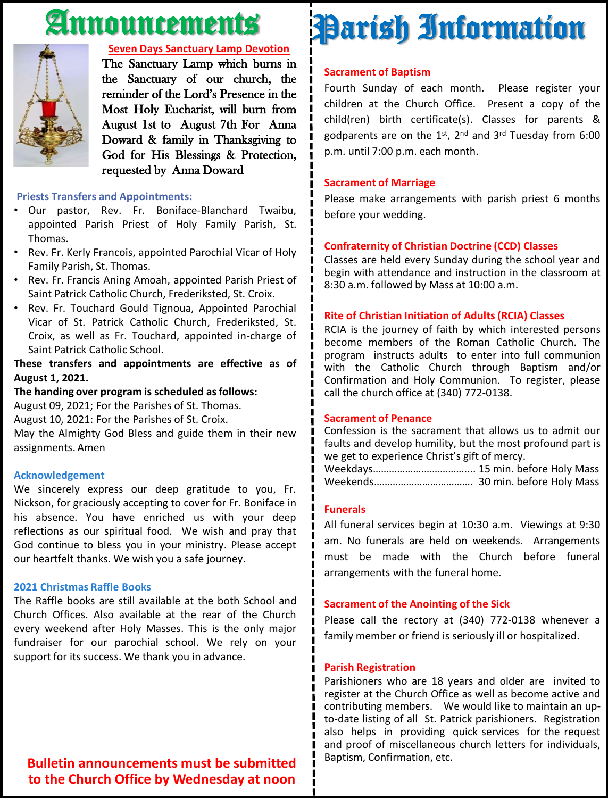# Announcements



#### **Seven Days Sanctuary Lamp Devotion**

The Sanctuary Lamp which burns in the Sanctuary of our church, the reminder of the Lord's Presence in the Most Holy Eucharist, will burn from August 1st to August 7th For Anna Doward & family in Thanksgiving to God for His Blessings & Protection, requested by Anna Doward

#### **Priests Transfers and Appointments:**

- Our pastor, Rev. Fr. Boniface-Blanchard Twaibu, appointed Parish Priest of Holy Family Parish, St. Thomas.
- Rev. Fr. Kerly Francois, appointed Parochial Vicar of Holy Family Parish, St. Thomas.
- Rev. Fr. Francis Aning Amoah, appointed Parish Priest of Saint Patrick Catholic Church, Frederiksted, St. Croix.
- Rev. Fr. Touchard Gould Tignoua, Appointed Parochial Vicar of St. Patrick Catholic Church, Frederiksted, St. Croix, as well as Fr. Touchard, appointed in-charge of Saint Patrick Catholic School.

#### **These transfers and appointments are effective as of August 1, 2021.**

#### **The handing over program is scheduled asfollows:**

August 09, 2021; For the Parishes of St. Thomas.

August 10, 2021: For the Parishes of St. Croix.

May the Almighty God Bless and guide them in their new assignments. Amen

#### **Acknowledgement**

We sincerely express our deep gratitude to you, Fr. Nickson, for graciously accepting to cover for Fr. Boniface in his absence. You have enriched us with your deep reflections as our spiritual food. We wish and pray that God continue to bless you in your ministry. Please accept our heartfelt thanks. We wish you a safe journey.

#### **2021 Christmas Raffle Books**

The Raffle books are still available at the both School and Church Offices. Also available at the rear of the Church every weekend after Holy Masses. This is the only major fundraiser for our parochial school. We rely on your support for its success. We thank you in advance.

## **Sacrament of Baptism** Parish Information

Fourth Sunday of each month. Please register your children at the Church Office. Present a copy of the child(ren) birth certificate(s). Classes for parents & godparents are on the 1st, 2<sup>nd</sup> and 3<sup>rd</sup> Tuesday from 6:00 p.m. until 7:00 p.m. each month.

#### **Sacrament of Marriage**

Please make arrangements with parish priest 6 months before your wedding.

#### **Confraternity of Christian Doctrine (CCD) Classes**

Classes are held every Sunday during the school year and begin with attendance and instruction in the classroom at 8:30 a.m. followed by Mass at 10:00 a.m.

#### **Rite of Christian Initiation of Adults (RCIA) Classes**

RCIA is the journey of faith by which interested persons become members of the Roman Catholic Church. The program instructs adults to enter into full communion with the Catholic Church through Baptism and/or Confirmation and Holy Communion. To register, please call the church office at (340) 772-0138.

#### **Sacrament of Penance**

Confession is the sacrament that allows us to admit our faults and develop humility, but the most profound part is we get to experience Christ's gift of mercy.

Weekdays……………….…………….... 15 min. before Holy Mass Weekends………………………………. 30 min. before Holy Mass

#### **Funerals**

All funeral services begin at 10:30 a.m. Viewings at 9:30 am. No funerals are held on weekends. Arrangements must be made with the Church before funeral arrangements with the funeral home.

#### **Sacrament of the Anointing of the Sick**

Please call the rectory at (340) 772-0138 whenever a family member or friend is seriously ill or hospitalized.

#### **Parish Registration**

Parishioners who are 18 years and older are invited to register at the Church Office as well as become active and contributing members. We would like to maintain an upto-date listing of all St. Patrick parishioners. Registration also helps in providing quick services for the request and proof of miscellaneous church letters for individuals, Baptism, Confirmation, etc.

**Bulletin announcements must be submitted to the Church Office by Wednesday at noon**